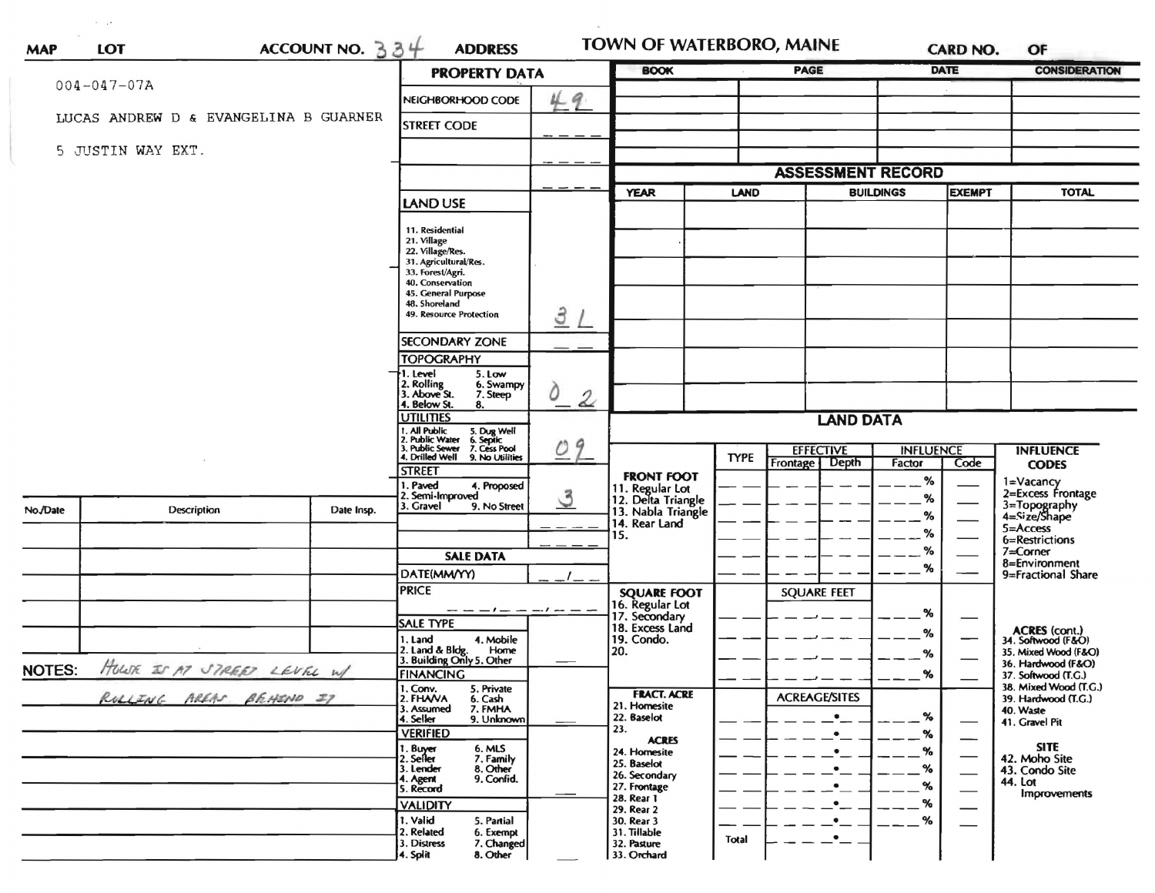| $004 - 047 - 07A$ |                                       |                                                                                                        |                                                                                   | ACCOUNT NO. $334$<br><b>PROPERTY DATA</b> |                                                             |             | <b>PAGE</b>                                  |                  | <b>DATE</b>   | <b>CONSIDERATION</b>                                        |
|-------------------|---------------------------------------|--------------------------------------------------------------------------------------------------------|-----------------------------------------------------------------------------------|-------------------------------------------|-------------------------------------------------------------|-------------|----------------------------------------------|------------------|---------------|-------------------------------------------------------------|
|                   |                                       |                                                                                                        | NEIGHBORHOOD CODE                                                                 | $\boldsymbol{q}$                          |                                                             |             |                                              |                  |               |                                                             |
|                   | LUCAS ANDREW D & EVANGELINA B GUARNER |                                                                                                        | <b>STREET CODE</b>                                                                |                                           |                                                             |             |                                              |                  |               |                                                             |
| 5 JUSTIN WAY EXT. |                                       |                                                                                                        |                                                                                   |                                           |                                                             |             |                                              |                  |               |                                                             |
|                   |                                       |                                                                                                        |                                                                                   |                                           |                                                             |             | <b>ASSESSMENT RECORD</b>                     |                  |               |                                                             |
|                   |                                       |                                                                                                        | LAND USE                                                                          |                                           | <b>YEAR</b>                                                 | LAND        |                                              | <b>BUILDINGS</b> | <b>EXEMPT</b> | <b>TOTAL</b>                                                |
|                   |                                       |                                                                                                        | 11. Residential                                                                   |                                           |                                                             |             |                                              |                  |               |                                                             |
|                   |                                       |                                                                                                        | 21. Village<br>22. Village/Res.                                                   |                                           |                                                             |             |                                              |                  |               |                                                             |
|                   |                                       |                                                                                                        | 31. Agricultural/Res.<br>33. Forest/Agri.                                         |                                           |                                                             |             |                                              |                  |               |                                                             |
|                   |                                       |                                                                                                        | 40. Conservation<br>45. General Purpose                                           |                                           |                                                             |             |                                              |                  |               |                                                             |
|                   |                                       |                                                                                                        | 48. Shoreland<br>49. Resource Protection                                          |                                           |                                                             |             |                                              |                  |               |                                                             |
|                   |                                       |                                                                                                        |                                                                                   | 3                                         |                                                             |             |                                              |                  |               |                                                             |
|                   |                                       |                                                                                                        | <b>SECONDARY ZONE</b>                                                             |                                           |                                                             |             |                                              |                  |               |                                                             |
|                   |                                       |                                                                                                        | <b>TOPOGRAPHY</b><br>1. Level<br>5. Low                                           |                                           |                                                             |             |                                              |                  |               |                                                             |
|                   |                                       |                                                                                                        | 2. Rolling<br>3. Above St.<br>6. Swampy<br>7. Steep<br>4. Below St.<br>8.         | 0<br>$\mathcal{Z}$                        |                                                             |             |                                              |                  |               |                                                             |
|                   |                                       |                                                                                                        | <b>UTILITIES</b><br><b>LAND DATA</b>                                              |                                           |                                                             |             |                                              |                  |               |                                                             |
|                   |                                       | 1. All Public<br>5. Dug Well<br>6. Septic<br>2. Public Water 6. Septic<br>3. Public Sewer 7. Cess Pool | 9                                                                                 | <b>INFLUENCE</b>                          |                                                             |             |                                              |                  |               |                                                             |
|                   |                                       |                                                                                                        | 4. Drilled Well 9. No Utilities                                                   | $\mathcal{O}$                             |                                                             | <b>TYPE</b> | <b>EFFECTIVE</b><br><b>Depth</b><br>Frontage | Factor           | Code          | <b>INFLUENCE</b><br><b>CODES</b>                            |
|                   |                                       |                                                                                                        | <b>STREET</b><br>1. Paved<br>4. Proposed                                          |                                           | <b>FRONT FOOT</b>                                           |             |                                              | %                |               | 1=Vacancy                                                   |
| No./Date          | Description                           | Date Insp.                                                                                             | 2. Semi-Improved<br>3. Gravel<br>9. No Street                                     | $\mathcal{S}$                             | 11. Regular Lot<br>12. Delta Triangle<br>13. Nabla Triangle |             |                                              | %                |               | 2=Excess Frontage<br>3=Topography<br>4=Size/Shape           |
|                   |                                       |                                                                                                        |                                                                                   |                                           | 14. Rear Land                                               |             |                                              | %<br>%           |               | 5=Access                                                    |
|                   |                                       |                                                                                                        |                                                                                   |                                           | 15.                                                         |             |                                              | %                |               | 6=Restrictions<br>7=Corner                                  |
|                   |                                       |                                                                                                        | <b>SALE DATA</b><br>DATE(MM/YY)                                                   |                                           |                                                             |             |                                              | %                |               | 8=Environment                                               |
|                   |                                       |                                                                                                        | <b>PRICE</b>                                                                      |                                           | <b>SQUARE FOOT</b>                                          |             | <b>SQUARE FEET</b>                           |                  |               | 9=Fractional Share                                          |
|                   |                                       |                                                                                                        | $- - - - - -$                                                                     |                                           | 16. Regular Lot                                             |             |                                              | %                |               |                                                             |
|                   |                                       |                                                                                                        | <b>SALE TYPE</b>                                                                  |                                           | 17. Secondary<br>18. Excess Land                            |             |                                              | %                |               |                                                             |
|                   |                                       |                                                                                                        | 4. Mobile<br>1. Land<br>2. Land & Bldg. Home<br>3. Building Only 5. Other<br>Home |                                           | 19. Condo.<br>20.                                           |             |                                              | %                |               | ACRES (cont.)<br>34. Softwood (F&O)<br>35. Mixed Wood (F&O) |
| <b>NOTES:</b>     | HOWE IS M STREET LEVEL W/             |                                                                                                        | <b>FINANCING</b>                                                                  |                                           |                                                             |             |                                              | $- -$ %          |               | 36. Hardwood (F&O)                                          |
|                   |                                       |                                                                                                        | 1. Conv.<br>5. Private                                                            |                                           | <b>FRACT. ACRE</b>                                          |             |                                              |                  |               | 37. Softwood (T.G.)<br>38. Mixed Wood (T.G.)                |
|                   | RULLING AREAS BEARND IT               |                                                                                                        | 2. FHAVA<br>6. Cash<br>7. FMHA<br>3. Assumed                                      |                                           | 21. Homesite                                                |             | <b>ACREAGE/SITES</b><br>$\bullet$            |                  |               | 39. Hardwood (T.G.)<br>40. Waste                            |
|                   |                                       |                                                                                                        | 4. Seller<br>9. Unknown<br><b>VERIFIED</b>                                        |                                           | 22. Baselot<br>23.                                          |             | $\bullet$                                    | %<br>%           |               | 41. Gravel Pit                                              |
|                   |                                       |                                                                                                        | 1. Buyer<br>6. MLS                                                                |                                           | <b>ACRES</b><br>24. Homesite                                |             | $\bullet$                                    | $\%$             |               | <b>SITE</b>                                                 |
|                   |                                       |                                                                                                        | 7. Family<br>2. Seller<br>8. Other<br>3. Lender                                   |                                           | 25. Baselot<br>26. Secondary                                |             | $\bullet$                                    | %                |               | 42. Moho Site<br>43. Condo Site                             |
|                   |                                       |                                                                                                        | 9. Confid.<br>4. Agent<br>5. Record                                               |                                           | 27. Frontage                                                |             | $\bullet$                                    | %                |               | 44. Lot<br>Improvements                                     |
|                   |                                       |                                                                                                        | <b>VALIDITY</b>                                                                   |                                           | 28. Rear 1<br>29. Rear 2                                    |             | $\bullet$                                    | %                |               |                                                             |
|                   |                                       |                                                                                                        | 1. Valid<br>5. Partial<br>2. Related<br>6. Exempt                                 |                                           | 30. Rear 3<br>31. Tillable                                  |             | $\bullet$<br>$\bullet$                       | $\%$             |               |                                                             |
|                   |                                       |                                                                                                        | 3. Distress<br>7. Changed                                                         |                                           | 32. Pasture                                                 | Total       |                                              |                  |               |                                                             |

 $\sigma = 15$